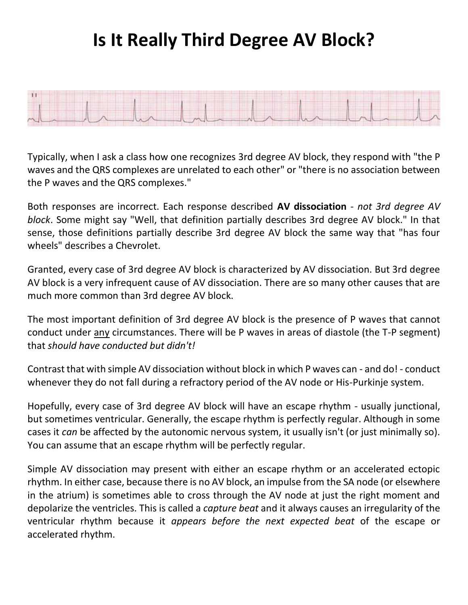## **Is It Really Third Degree AV Block?**



Typically, when I ask a class how one recognizes 3rd degree AV block, they respond with "the P waves and the QRS complexes are unrelated to each other" or "there is no association between the P waves and the QRS complexes."

Both responses are incorrect. Each response described **AV dissociation** - *not 3rd degree AV block*. Some might say "Well, that definition partially describes 3rd degree AV block." In that sense, those definitions partially describe 3rd degree AV block the same way that "has four wheels" describes a Chevrolet.

Granted, every case of 3rd degree AV block is characterized by AV dissociation. But 3rd degree AV block is a very infrequent cause of AV dissociation. There are so many other causes that are much more common than 3rd degree AV block.

The most important definition of 3rd degree AV block is the presence of P waves that cannot conduct under any circumstances. There will be P waves in areas of diastole (the T-P segment) that *should have conducted but didn't!*

Contrast that with simple AV dissociation without block in which P waves can - and do! - conduct whenever they do not fall during a refractory period of the AV node or His-Purkinje system.

Hopefully, every case of 3rd degree AV block will have an escape rhythm - usually junctional, but sometimes ventricular. Generally, the escape rhythm is perfectly regular. Although in some cases it *can* be affected by the autonomic nervous system, it usually isn't (or just minimally so). You can assume that an escape rhythm will be perfectly regular.

Simple AV dissociation may present with either an escape rhythm or an accelerated ectopic rhythm. In either case, because there is no AV block, an impulse from the SA node (or elsewhere in the atrium) is sometimes able to cross through the AV node at just the right moment and depolarize the ventricles. This is called a *capture beat* and it always causes an irregularity of the ventricular rhythm because it *appears before the next expected beat* of the escape or accelerated rhythm.